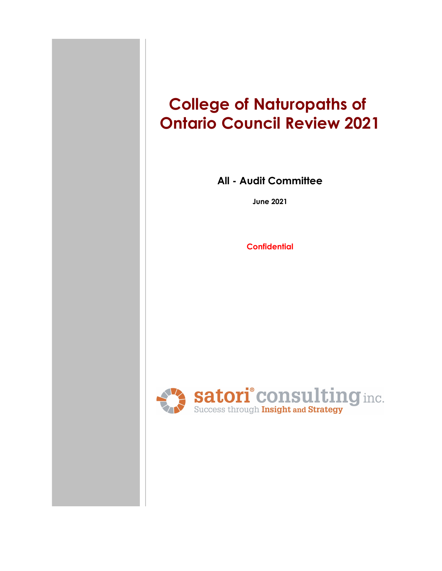# **College of Naturopaths of Ontario Council Review 2021**

**All - Audit Committee**

**June 2021**

**Confidential**

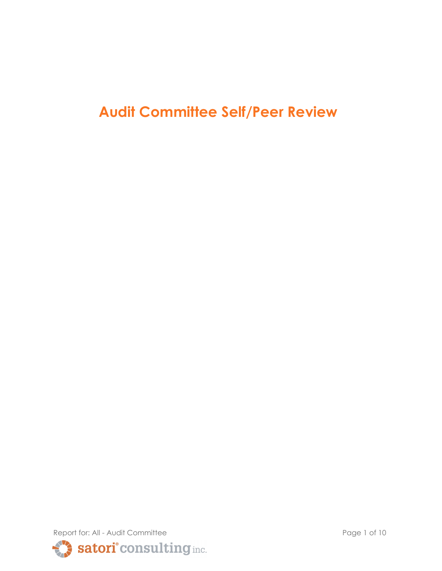## **Audit Committee Self/Peer Review**

Report for: All - Audit Committee Page 1 of 10 Satori° consulting inc.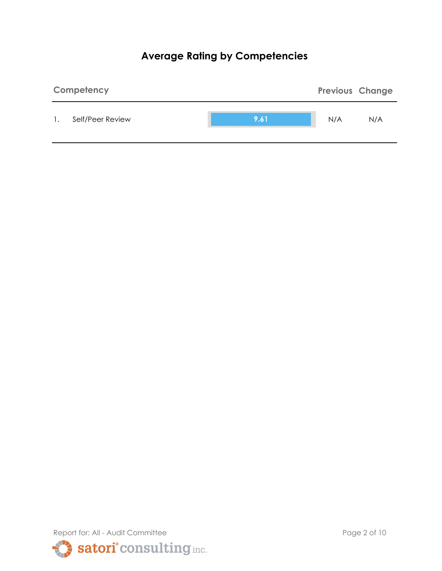## **Average Rating by Competencies**



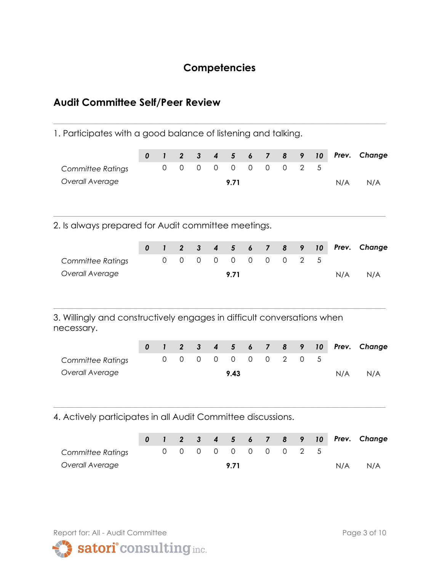## **Competencies**

**\_\_\_\_\_\_\_\_\_\_\_\_\_\_\_\_\_\_\_\_\_\_\_\_\_\_\_\_\_\_\_\_\_\_\_\_\_\_\_\_\_\_\_\_\_\_\_\_\_\_\_\_\_\_\_\_\_\_\_\_\_\_\_\_\_\_\_\_\_**

## **Audit Committee Self/Peer Review**

1. Participates with a good balance of listening and talking.

|                                                                                       | $\pmb{0}$        | $\mathbf{I}$                | $\overline{2}$                | $\mathbf{3}$                        | $\overline{\mathbf{4}}$                | $5\phantom{1}$                   | 6                               | $\overline{7}$                | 8                   | 9                | 10      | Prev. | Change |
|---------------------------------------------------------------------------------------|------------------|-----------------------------|-------------------------------|-------------------------------------|----------------------------------------|----------------------------------|---------------------------------|-------------------------------|---------------------|------------------|---------|-------|--------|
| <b>Committee Ratings</b>                                                              |                  | $\overline{0}$              | $\mathbf 0$                   | $\mathbf 0$                         | $\mathbf 0$                            | $\overline{0}$                   | $\overline{0}$                  | $\overline{0}$                | $\mathbf 0$         | $\overline{2}$   | 5       |       |        |
| Overall Average                                                                       |                  |                             |                               |                                     |                                        | 9.71                             |                                 |                               |                     |                  |         | N/A   | N/A    |
| 2. Is always prepared for Audit committee meetings.                                   |                  |                             |                               |                                     |                                        |                                  |                                 |                               |                     |                  |         |       |        |
|                                                                                       | $\boldsymbol{0}$ | $\mathbf{I}$                | $\overline{2}$                | $\mathbf{3}$                        | $\overline{\mathbf{4}}$                | $5\phantom{1}$                   | 6                               | $\overline{7}$                | 8                   | 9                | 10      | Prev. | Change |
| <b>Committee Ratings</b>                                                              |                  | $\mathbf 0$                 | $\mathbf 0$                   | $\mathsf{O}\xspace$                 | $\overline{0}$                         | $\mathsf{O}\xspace$              | $\mathbf 0$                     | $\mathsf{O}$                  | $\mathsf{O}$        | $\overline{2}$   | 5       |       |        |
| Overall Average                                                                       |                  |                             |                               |                                     |                                        | 9.71                             |                                 |                               |                     |                  |         | N/A   | N/A    |
| 3. Willingly and constructively engages in difficult conversations when<br>necessary. | $\boldsymbol{0}$ | $\mathbf{I}$<br>$\mathbf 0$ | $\overline{2}$<br>$\mathbf 0$ | $\mathbf{3}$<br>$\mathsf{O}\xspace$ | $\overline{\mathbf{4}}$<br>$\mathbf 0$ | $5\phantom{1}$<br>$\overline{0}$ | $\boldsymbol{6}$<br>$\mathbf 0$ | $\overline{7}$<br>$\mathbf 0$ | 8<br>$\overline{2}$ | 9<br>$\mathbf 0$ | 10<br>5 | Prev. | Change |
| <b>Committee Ratings</b><br>Overall Average                                           |                  |                             |                               |                                     |                                        | 9.43                             |                                 |                               |                     |                  |         |       |        |
| 4. Actively participates in all Audit Committee discussions.                          |                  |                             |                               |                                     |                                        |                                  |                                 |                               |                     |                  |         | N/A   | N/A    |
|                                                                                       |                  |                             |                               |                                     |                                        |                                  |                                 |                               |                     |                  |         |       |        |
|                                                                                       | 0                | $\mathbf{I}$                | $\boldsymbol{2}$              | $\mathbf{3}$                        | $\boldsymbol{4}$                       | $5\phantom{1}$                   | $\pmb{6}$                       | $\overline{\mathbf{z}}$       | 8                   | 9                | $10$    | Prev. | Change |
| <b>Committee Ratings</b>                                                              |                  | $\mathbf 0$                 | $\mathbf 0$                   | $\mathsf{O}\xspace$                 | $\mathbf 0$                            | $\mathbf 0$                      | $\mathbf 0$                     | $\mathbf 0$                   | $\mathbf 0$         | $\overline{2}$   | 5       |       |        |
| Overall Average                                                                       |                  |                             |                               |                                     |                                        | 9.71                             |                                 |                               |                     |                  |         | N/A   | N/A    |





satori<sup>°</sup>consulting inc.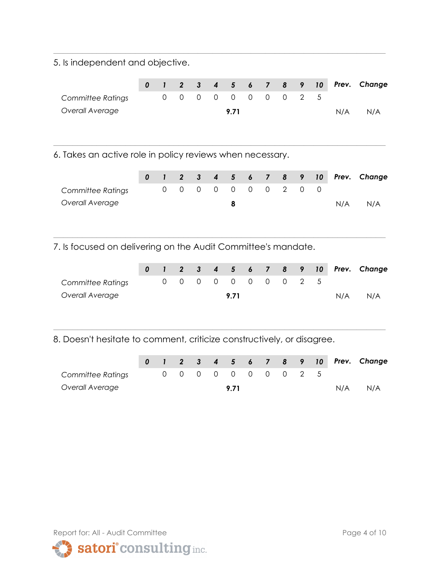5. Is independent and objective.

|                   |  |  |                     |  |  |     | 0 1 2 3 4 5 6 7 8 9 10 Prev. Change |
|-------------------|--|--|---------------------|--|--|-----|-------------------------------------|
| Committee Ratings |  |  | 0 0 0 0 0 0 0 0 2 5 |  |  |     |                                     |
| Overall Average   |  |  | 9.71                |  |  | N/A | N/A                                 |
|                   |  |  |                     |  |  |     |                                     |

**\_\_\_\_\_\_\_\_\_\_\_\_\_\_\_\_\_\_\_\_\_\_\_\_\_\_\_\_\_\_\_\_\_\_\_\_\_\_\_\_\_\_\_\_\_\_\_\_\_\_\_\_\_\_\_\_\_\_\_\_\_\_\_\_\_\_\_\_\_**

**\_\_\_\_\_\_\_\_\_\_\_\_\_\_\_\_\_\_\_\_\_\_\_\_\_\_\_\_\_\_\_\_\_\_\_\_\_\_\_\_\_\_\_\_\_\_\_\_\_\_\_\_\_\_\_\_\_\_\_\_\_\_\_\_\_\_\_\_\_**

6. Takes an active role in policy reviews when necessary.

|                   |  |  |  |                     |  |  |     | 0 1 2 3 4 5 6 7 8 9 10 Prev. Change |
|-------------------|--|--|--|---------------------|--|--|-----|-------------------------------------|
| Committee Ratings |  |  |  | 0 0 0 0 0 0 0 2 0 0 |  |  |     |                                     |
| Overall Average   |  |  |  |                     |  |  | N/A | N/A                                 |
|                   |  |  |  |                     |  |  |     |                                     |

**\_\_\_\_\_\_\_\_\_\_\_\_\_\_\_\_\_\_\_\_\_\_\_\_\_\_\_\_\_\_\_\_\_\_\_\_\_\_\_\_\_\_\_\_\_\_\_\_\_\_\_\_\_\_\_\_\_\_\_\_\_\_\_\_\_\_\_\_\_**

7. Is focused on delivering on the Audit Committee's mandate.

|                   |  |  |      |  |                     |  |     | 0 1 2 3 4 5 6 7 8 9 10 Prev. Change |
|-------------------|--|--|------|--|---------------------|--|-----|-------------------------------------|
| Committee Ratings |  |  |      |  | 0 0 0 0 0 0 0 0 2 5 |  |     |                                     |
| Overall Average   |  |  | 9.71 |  |                     |  | N/A | N/A                                 |

8. Doesn't hesitate to comment, criticize constructively, or disagree.

|                   |  |  |      |  |                     |  |     | 0 1 2 3 4 5 6 7 8 9 10 Prev. Change |
|-------------------|--|--|------|--|---------------------|--|-----|-------------------------------------|
| Committee Ratings |  |  |      |  | 0 0 0 0 0 0 0 0 2 5 |  |     |                                     |
| Overall Average   |  |  | 9 71 |  |                     |  | N/A | N/A                                 |

**\_\_\_\_\_\_\_\_\_\_\_\_\_\_\_\_\_\_\_\_\_\_\_\_\_\_\_\_\_\_\_\_\_\_\_\_\_\_\_\_\_\_\_\_\_\_\_\_\_\_\_\_\_\_\_\_\_\_\_\_\_\_\_\_\_\_\_\_\_**

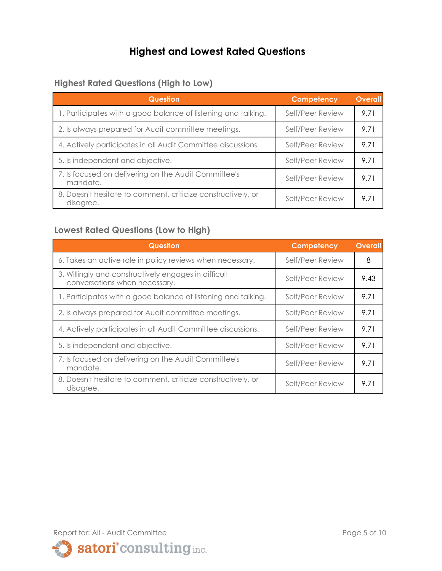## **Highest and Lowest Rated Questions**

#### **Highest Rated Questions (High to Low)**

| <b>Question</b>                                                           | Competency       | <b>Overall</b> |
|---------------------------------------------------------------------------|------------------|----------------|
| 1. Participates with a good balance of listening and talking.             | Self/Peer Review | 9.71           |
| 2. Is always prepared for Audit committee meetings.                       | Self/Peer Review | 9.71           |
| 4. Actively participates in all Audit Committee discussions.              | Self/Peer Review | 9.71           |
| 5. Is independent and objective.                                          | Self/Peer Review | 9.71           |
| 7. Is focused on delivering on the Audit Committee's<br>mandate.          | Self/Peer Review | 9.71           |
| 8. Doesn't hesitate to comment, criticize constructively, or<br>disagree. | Self/Peer Review | 9 7 1          |

#### **Lowest Rated Questions (Low to High)**

| <b>Question</b>                                                                       | Competency       | <b>Overall</b> |
|---------------------------------------------------------------------------------------|------------------|----------------|
| 6. Takes an active role in policy reviews when necessary.                             | Self/Peer Review | 8              |
| 3. Willingly and constructively engages in difficult<br>conversations when necessary. | Self/Peer Review | 9.43           |
| 1. Participates with a good balance of listening and talking.                         | Self/Peer Review | 9.71           |
| 2. Is always prepared for Audit committee meetings.                                   | Self/Peer Review | 9.71           |
| 4. Actively participates in all Audit Committee discussions.                          | Self/Peer Review | 9.71           |
| 5. Is independent and objective.                                                      | Self/Peer Review | 9.71           |
| 7. Is focused on delivering on the Audit Committee's<br>mandate.                      | Self/Peer Review | 9.71           |
| 8. Doesn't hesitate to comment, criticize constructively, or<br>disagree.             | Self/Peer Review | 9.71           |

Report for: All - Audit Committee Page 5 of 10

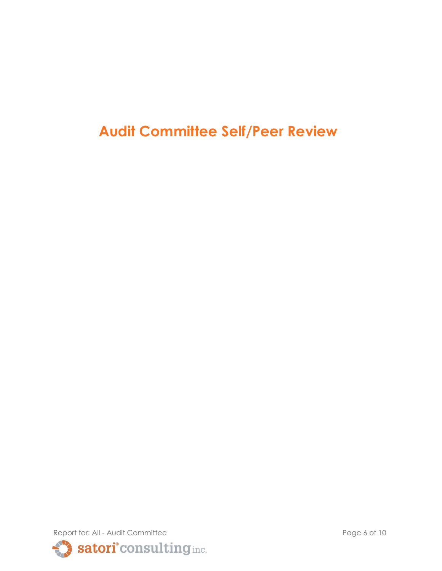**Audit Committee Self/Peer Review**

Report for: All - Audit Committee Page 6 of 10 Satori<sup>°</sup> consulting inc.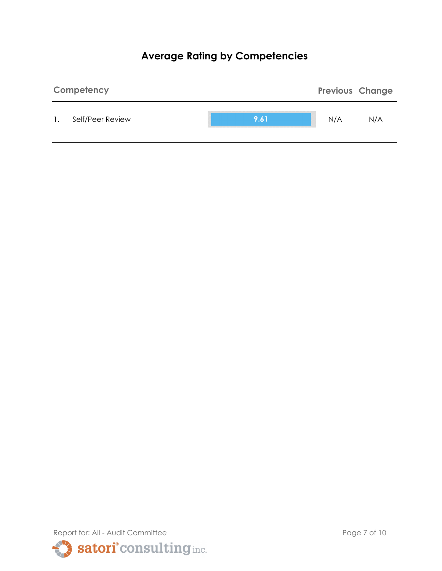## **Average Rating by Competencies**



Report for: All - Audit Committee Page 7 of 10 satori<sup>°</sup> consulting inc.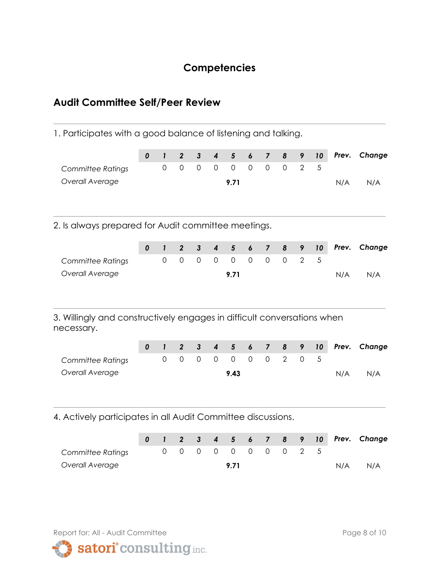## **Competencies**

**\_\_\_\_\_\_\_\_\_\_\_\_\_\_\_\_\_\_\_\_\_\_\_\_\_\_\_\_\_\_\_\_\_\_\_\_\_\_\_\_\_\_\_\_\_\_\_\_\_\_\_\_\_\_\_\_\_\_\_\_\_\_\_\_\_\_\_\_\_**

## **Audit Committee Self/Peer Review**

1. Participates with a good balance of listening and talking.

|                                                                                                                   | $\pmb{0}$        | $\mathbf{I}$                | $\overline{2}$                | $\mathbf{3}$                        | $\boldsymbol{4}$                | $5\phantom{1}$                   | 6                               | $\overline{7}$                | 8                   | 9                | 10      | Prev. | Change |
|-------------------------------------------------------------------------------------------------------------------|------------------|-----------------------------|-------------------------------|-------------------------------------|---------------------------------|----------------------------------|---------------------------------|-------------------------------|---------------------|------------------|---------|-------|--------|
| <b>Committee Ratings</b>                                                                                          |                  | $\mathbf 0$                 | $\mathbf 0$                   | $\mathbf 0$                         | $\mathbf 0$                     | $\overline{0}$                   | $\overline{0}$                  | $\mathbf 0$                   | $\overline{0}$      | $\overline{2}$   | 5       |       |        |
| Overall Average                                                                                                   |                  |                             |                               |                                     |                                 | 9.71                             |                                 |                               |                     |                  |         | N/A   | N/A    |
| 2. Is always prepared for Audit committee meetings.                                                               |                  |                             |                               |                                     |                                 |                                  |                                 |                               |                     |                  |         |       |        |
|                                                                                                                   | $\boldsymbol{0}$ | $\mathbf{I}$                | $\overline{2}$                | $\mathbf{3}$                        | $\overline{\mathbf{4}}$         | $5\phantom{1}$                   | 6                               | $\overline{7}$                | 8                   | 9                | 10      | Prev. | Change |
| <b>Committee Ratings</b>                                                                                          |                  | $\overline{0}$              | $\mathbf 0$                   | $\mathbf 0$                         | $\overline{0}$                  | $\overline{0}$                   | $\overline{0}$                  | $\mathbf 0$                   | $\mathbf 0$         | $\overline{2}$   | 5       |       |        |
| Overall Average                                                                                                   |                  |                             |                               |                                     |                                 | 9.71                             |                                 |                               |                     |                  |         | N/A   | N/A    |
| 3. Willingly and constructively engages in difficult conversations when<br>necessary.<br><b>Committee Ratings</b> | $\pmb{0}$        | $\mathbf{I}$<br>$\mathbf 0$ | $\overline{2}$<br>$\mathbf 0$ | $\mathbf{3}$<br>$\mathsf{O}\xspace$ | $\boldsymbol{4}$<br>$\mathbf 0$ | $5\phantom{1}$<br>$\overline{0}$ | $\boldsymbol{6}$<br>$\mathbf 0$ | $\overline{7}$<br>$\mathbf 0$ | 8<br>$\overline{2}$ | 9<br>$\mathbf 0$ | 10<br>5 | Prev. | Change |
| Overall Average                                                                                                   |                  |                             |                               |                                     |                                 | 9.43                             |                                 |                               |                     |                  |         | N/A   | N/A    |
| 4. Actively participates in all Audit Committee discussions.                                                      |                  |                             |                               |                                     |                                 |                                  |                                 |                               |                     |                  |         |       |        |
|                                                                                                                   | 0                | 1                           | $\boldsymbol{2}$              | $\mathbf{3}$                        | $\boldsymbol{4}$                | $5\phantom{1}$                   | 6                               | $\overline{\mathbf{z}}$       | 8                   | 9                | 10      | Prev. | Change |
| <b>Committee Ratings</b>                                                                                          |                  | $\overline{0}$              | $\mathbf 0$                   | $\mathbf 0$                         | $\mathbf 0$                     | $\overline{0}$                   | $\mathbf 0$                     | $\mathbf 0$                   | $\mathbf 0$         | $\overline{2}$   | 5       |       |        |
| Overall Average                                                                                                   |                  |                             |                               |                                     |                                 | 9.71                             |                                 |                               |                     |                  |         | N/A   | N/A    |



satori° consulting inc.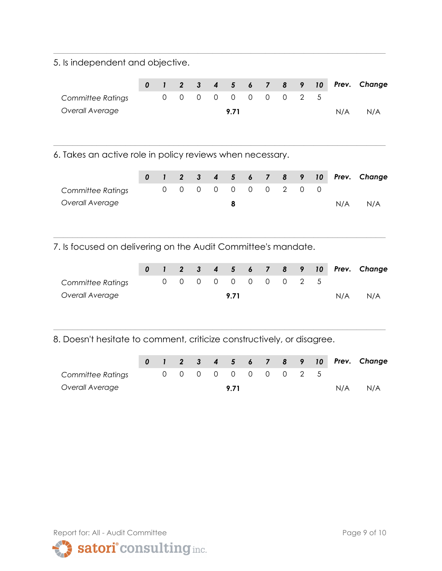5. Is independent and objective.

|                   |  |  |                     |  |  |     | 0 1 2 3 4 5 6 7 8 9 10 Prev. Change |
|-------------------|--|--|---------------------|--|--|-----|-------------------------------------|
| Committee Ratings |  |  | 0 0 0 0 0 0 0 0 2 5 |  |  |     |                                     |
| Overall Average   |  |  | 9.71                |  |  | N/A | N/A                                 |
|                   |  |  |                     |  |  |     |                                     |

**\_\_\_\_\_\_\_\_\_\_\_\_\_\_\_\_\_\_\_\_\_\_\_\_\_\_\_\_\_\_\_\_\_\_\_\_\_\_\_\_\_\_\_\_\_\_\_\_\_\_\_\_\_\_\_\_\_\_\_\_\_\_\_\_\_\_\_\_\_**

**\_\_\_\_\_\_\_\_\_\_\_\_\_\_\_\_\_\_\_\_\_\_\_\_\_\_\_\_\_\_\_\_\_\_\_\_\_\_\_\_\_\_\_\_\_\_\_\_\_\_\_\_\_\_\_\_\_\_\_\_\_\_\_\_\_\_\_\_\_**

6. Takes an active role in policy reviews when necessary.

|                   |  |  |  |                     |  |  |     | 0 1 2 3 4 5 6 7 8 9 10 Prev. Change |
|-------------------|--|--|--|---------------------|--|--|-----|-------------------------------------|
| Committee Ratings |  |  |  | 0 0 0 0 0 0 0 2 0 0 |  |  |     |                                     |
| Overall Average   |  |  |  |                     |  |  | N/A | N/A                                 |
|                   |  |  |  |                     |  |  |     |                                     |

**\_\_\_\_\_\_\_\_\_\_\_\_\_\_\_\_\_\_\_\_\_\_\_\_\_\_\_\_\_\_\_\_\_\_\_\_\_\_\_\_\_\_\_\_\_\_\_\_\_\_\_\_\_\_\_\_\_\_\_\_\_\_\_\_\_\_\_\_\_**

7. Is focused on delivering on the Audit Committee's mandate.

|                   |  |  |      |  |                     |  |     | 0 1 2 3 4 5 6 7 8 9 10 Prev. Change |
|-------------------|--|--|------|--|---------------------|--|-----|-------------------------------------|
| Committee Ratings |  |  |      |  | 0 0 0 0 0 0 0 0 2 5 |  |     |                                     |
| Overall Average   |  |  | 9.71 |  |                     |  | N/A | N/A                                 |

8. Doesn't hesitate to comment, criticize constructively, or disagree.

|                   |  |  |      |  |                     |  |     | 0 1 2 3 4 5 6 7 8 9 10 Prev. Change |
|-------------------|--|--|------|--|---------------------|--|-----|-------------------------------------|
| Committee Ratings |  |  |      |  | 0 0 0 0 0 0 0 0 2 5 |  |     |                                     |
| Overall Average   |  |  | 9 71 |  |                     |  | N/A | N/A                                 |

**\_\_\_\_\_\_\_\_\_\_\_\_\_\_\_\_\_\_\_\_\_\_\_\_\_\_\_\_\_\_\_\_\_\_\_\_\_\_\_\_\_\_\_\_\_\_\_\_\_\_\_\_\_\_\_\_\_\_\_\_\_\_\_\_\_\_\_\_\_**